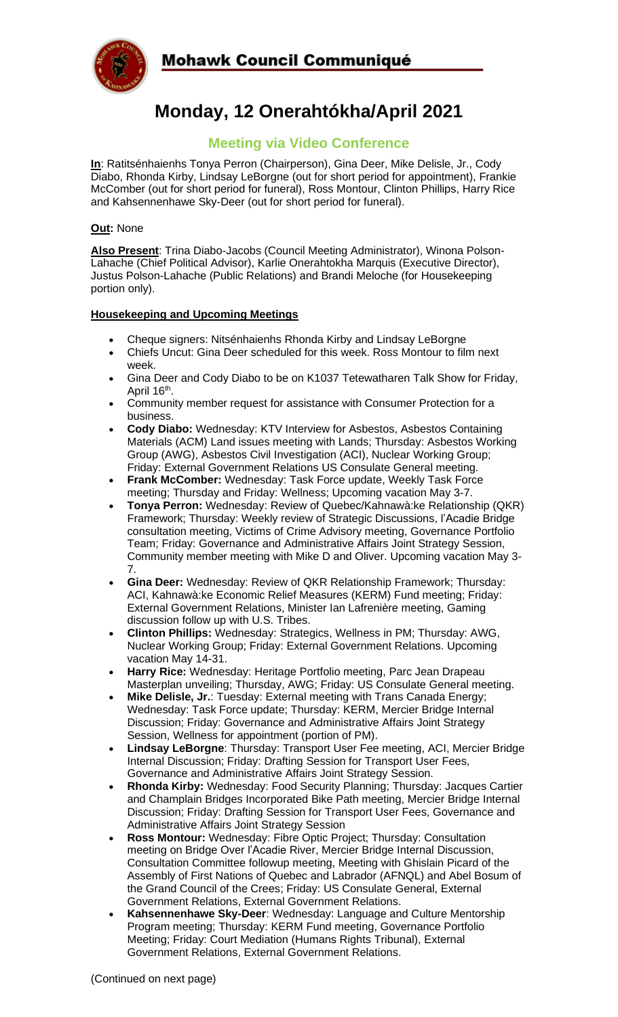

# **Monday, 12 Onerahtókha/April 2021**

# **Meeting via Video Conference**

**In**: Ratitsénhaienhs Tonya Perron (Chairperson), Gina Deer, Mike Delisle, Jr., Cody Diabo, Rhonda Kirby, Lindsay LeBorgne (out for short period for appointment), Frankie McComber (out for short period for funeral), Ross Montour, Clinton Phillips, Harry Rice and Kahsennenhawe Sky-Deer (out for short period for funeral).

#### **Out:** None

**Also Present**: Trina Diabo-Jacobs (Council Meeting Administrator), Winona Polson-Lahache (Chief Political Advisor), Karlie Onerahtokha Marquis (Executive Director), Justus Polson-Lahache (Public Relations) and Brandi Meloche (for Housekeeping portion only).

## **Housekeeping and Upcoming Meetings**

- Cheque signers: Nitsénhaienhs Rhonda Kirby and Lindsay LeBorgne
- Chiefs Uncut: Gina Deer scheduled for this week. Ross Montour to film next week.
- Gina Deer and Cody Diabo to be on K1037 Tetewatharen Talk Show for Friday, April 16<sup>th</sup>.
- Community member request for assistance with Consumer Protection for a business.
- **Cody Diabo:** Wednesday: KTV Interview for Asbestos, Asbestos Containing Materials (ACM) Land issues meeting with Lands; Thursday: Asbestos Working Group (AWG), Asbestos Civil Investigation (ACI), Nuclear Working Group; Friday: External Government Relations US Consulate General meeting.
- **Frank McComber:** Wednesday: Task Force update, Weekly Task Force meeting; Thursday and Friday: Wellness; Upcoming vacation May 3-7.
- **Tonya Perron:** Wednesday: Review of Quebec/Kahnawà:ke Relationship (QKR) Framework; Thursday: Weekly review of Strategic Discussions, l'Acadie Bridge consultation meeting, Victims of Crime Advisory meeting, Governance Portfolio Team; Friday: Governance and Administrative Affairs Joint Strategy Session, Community member meeting with Mike D and Oliver. Upcoming vacation May 3- 7.
- **Gina Deer:** Wednesday: Review of QKR Relationship Framework; Thursday: ACI, Kahnawà:ke Economic Relief Measures (KERM) Fund meeting; Friday: External Government Relations, Minister Ian Lafrenière meeting, Gaming discussion follow up with U.S. Tribes.
- **Clinton Phillips:** Wednesday: Strategics, Wellness in PM; Thursday: AWG, Nuclear Working Group; Friday: External Government Relations. Upcoming vacation May 14-31.
- **Harry Rice:** Wednesday: Heritage Portfolio meeting, Parc Jean Drapeau Masterplan unveiling; Thursday, AWG; Friday: US Consulate General meeting.
- **Mike Delisle, Jr.**: Tuesday: External meeting with Trans Canada Energy; Wednesday: Task Force update; Thursday: KERM, Mercier Bridge Internal Discussion; Friday: Governance and Administrative Affairs Joint Strategy Session, Wellness for appointment (portion of PM).
- **Lindsay LeBorgne**: Thursday: Transport User Fee meeting, ACI, Mercier Bridge Internal Discussion; Friday: Drafting Session for Transport User Fees, Governance and Administrative Affairs Joint Strategy Session.
- **Rhonda Kirby:** Wednesday: Food Security Planning; Thursday: Jacques Cartier and Champlain Bridges Incorporated Bike Path meeting, Mercier Bridge Internal Discussion; Friday: Drafting Session for Transport User Fees, Governance and Administrative Affairs Joint Strategy Session
- **Ross Montour:** Wednesday: Fibre Optic Project; Thursday: Consultation meeting on Bridge Over l'Acadie River, Mercier Bridge Internal Discussion, Consultation Committee followup meeting, Meeting with Ghislain Picard of the Assembly of First Nations of Quebec and Labrador (AFNQL) and Abel Bosum of the Grand Council of the Crees; Friday: US Consulate General, External Government Relations, External Government Relations.
- **Kahsennenhawe Sky-Deer**: Wednesday: Language and Culture Mentorship Program meeting; Thursday: KERM Fund meeting, Governance Portfolio Meeting; Friday: Court Mediation (Humans Rights Tribunal), External Government Relations, External Government Relations.